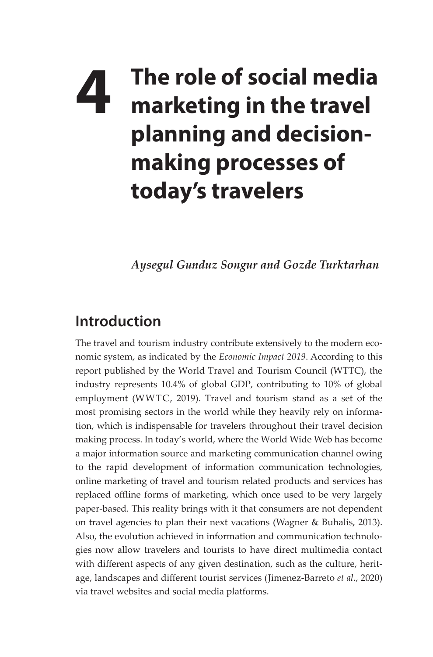## **4** The role of social media<br>**4** marketing in the travel **marketing in the travel planning and decisionmaking processes of today's travelers**

*Aysegul Gunduz Songur and Gozde Turktarhan*

## **Introduction**

The travel and tourism industry contribute extensively to the modern economic system, as indicated by the *Economic Impact 2019*. According to this report published by the World Travel and Tourism Council (WTTC), the industry represents 10.4% of global GDP, contributing to 10% of global employment (WWTC, 2019). Travel and tourism stand as a set of the most promising sectors in the world while they heavily rely on information, which is indispensable for travelers throughout their travel decision making process. In today's world, where the World Wide Web has become a major information source and marketing communication channel owing to the rapid development of information communication technologies, online marketing of travel and tourism related products and services has replaced offline forms of marketing, which once used to be very largely paper-based. This reality brings with it that consumers are not dependent on travel agencies to plan their next vacations (Wagner & Buhalis, 2013). Also, the evolution achieved in information and communication technologies now allow travelers and tourists to have direct multimedia contact with different aspects of any given destination, such as the culture, heritage, landscapes and different tourist services (Jimenez-Barreto *et al.*, 2020) via travel websites and social media platforms.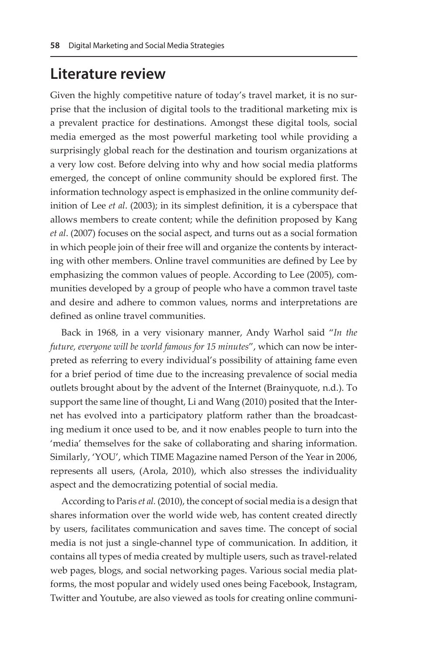## **Literature review**

Given the highly competitive nature of today's travel market, it is no surprise that the inclusion of digital tools to the traditional marketing mix is a prevalent practice for destinations. Amongst these digital tools, social media emerged as the most powerful marketing tool while providing a surprisingly global reach for the destination and tourism organizations at a very low cost. Before delving into why and how social media platforms emerged, the concept of online community should be explored first. The information technology aspect is emphasized in the online community definition of Lee *et al*. (2003); in its simplest definition, it is a cyberspace that allows members to create content; while the definition proposed by Kang *et al*. (2007) focuses on the social aspect, and turns out as a social formation in which people join of their free will and organize the contents by interacting with other members. Online travel communities are defined by Lee by emphasizing the common values of people. According to Lee (2005), communities developed by a group of people who have a common travel taste and desire and adhere to common values, norms and interpretations are defined as online travel communities.

Back in 1968, in a very visionary manner, Andy Warhol said "*In the future, everyone will be world famous for 15 minutes*", which can now be interpreted as referring to every individual's possibility of attaining fame even for a brief period of time due to the increasing prevalence of social media outlets brought about by the advent of the Internet (Brainyquote, n.d.). To support the same line of thought, Li and Wang (2010) posited that the Internet has evolved into a participatory platform rather than the broadcasting medium it once used to be, and it now enables people to turn into the 'media' themselves for the sake of collaborating and sharing information. Similarly, 'YOU', which TIME Magazine named Person of the Year in 2006, represents all users, (Arola, 2010), which also stresses the individuality aspect and the democratizing potential of social media.

According to Paris *et al.* (2010), the concept of social media is a design that shares information over the world wide web, has content created directly by users, facilitates communication and saves time. The concept of social media is not just a single-channel type of communication. In addition, it contains all types of media created by multiple users, such as travel-related web pages, blogs, and social networking pages. Various social media platforms, the most popular and widely used ones being Facebook, Instagram, Twitter and Youtube, are also viewed as tools for creating online communi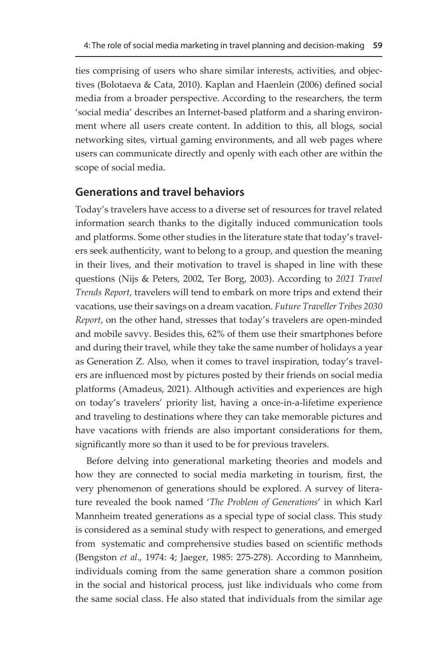ties comprising of users who share similar interests, activities, and objectives (Bolotaeva & Cata, 2010). Kaplan and Haenlein (2006) defined social media from a broader perspective. According to the researchers, the term 'social media' describes an Internet-based platform and a sharing environment where all users create content. In addition to this, all blogs, social networking sites, virtual gaming environments, and all web pages where users can communicate directly and openly with each other are within the scope of social media.

## **Generations and travel behaviors**

Today's travelers have access to a diverse set of resources for travel related information search thanks to the digitally induced communication tools and platforms. Some other studies in the literature state that today's travelers seek authenticity, want to belong to a group, and question the meaning in their lives, and their motivation to travel is shaped in line with these questions (Nijs & Peters, 2002, Ter Borg, 2003). According to *2021 Travel Trends Report*, travelers will tend to embark on more trips and extend their vacations, use their savings on a dream vacation. *Future Traveller Tribes 2030 Report*, on the other hand, stresses that today's travelers are open-minded and mobile savvy. Besides this, 62% of them use their smartphones before and during their travel, while they take the same number of holidays a year as Generation Z. Also, when it comes to travel inspiration, today's travelers are influenced most by pictures posted by their friends on social media platforms (Amadeus, 2021). Although activities and experiences are high on today's travelers' priority list, having a once-in-a-lifetime experience and traveling to destinations where they can take memorable pictures and have vacations with friends are also important considerations for them, significantly more so than it used to be for previous travelers.

Before delving into generational marketing theories and models and how they are connected to social media marketing in tourism, first, the very phenomenon of generations should be explored. A survey of literature revealed the book named '*The Problem of Generations*' in which Karl Mannheim treated generations as a special type of social class. This study is considered as a seminal study with respect to generations, and emerged from systematic and comprehensive studies based on scientific methods (Bengston *et al*., 1974: 4; Jaeger, 1985: 275-278). According to Mannheim, individuals coming from the same generation share a common position in the social and historical process, just like individuals who come from the same social class. He also stated that individuals from the similar age